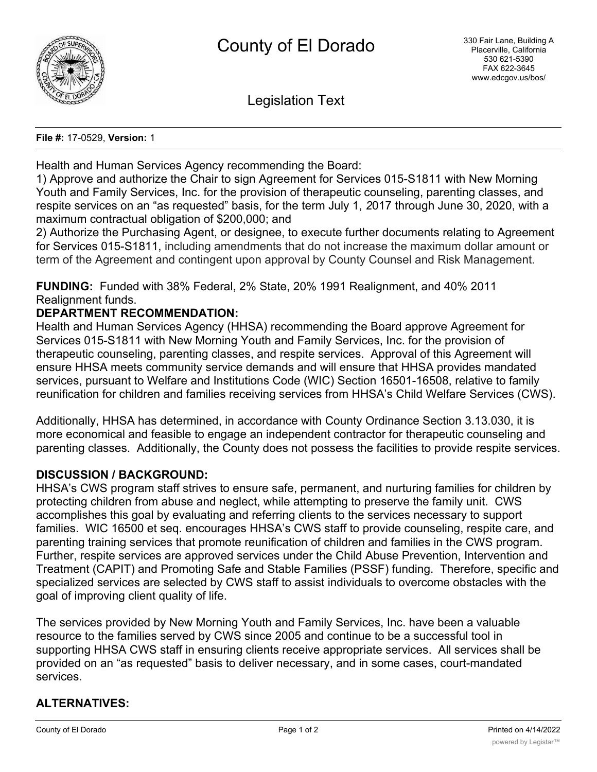

Legislation Text

#### **File #:** 17-0529, **Version:** 1

Health and Human Services Agency recommending the Board:

1) Approve and authorize the Chair to sign Agreement for Services 015-S1811 with New Morning Youth and Family Services, Inc. for the provision of therapeutic counseling, parenting classes, and respite services on an "as requested" basis, for the term July 1, *2*017 through June 30, 2020, with a maximum contractual obligation of \$200,000; and

2) Authorize the Purchasing Agent, or designee, to execute further documents relating to Agreement for Services 015-S1811, including amendments that do not increase the maximum dollar amount or term of the Agreement and contingent upon approval by County Counsel and Risk Management.

**FUNDING:** Funded with 38% Federal, 2% State, 20% 1991 Realignment, and 40% 2011 Realignment funds.

# **DEPARTMENT RECOMMENDATION:**

Health and Human Services Agency (HHSA) recommending the Board approve Agreement for Services 015-S1811 with New Morning Youth and Family Services, Inc. for the provision of therapeutic counseling, parenting classes, and respite services. Approval of this Agreement will ensure HHSA meets community service demands and will ensure that HHSA provides mandated services, pursuant to Welfare and Institutions Code (WIC) Section 16501-16508, relative to family reunification for children and families receiving services from HHSA's Child Welfare Services (CWS).

Additionally, HHSA has determined, in accordance with County Ordinance Section 3.13.030, it is more economical and feasible to engage an independent contractor for therapeutic counseling and parenting classes. Additionally, the County does not possess the facilities to provide respite services.

### **DISCUSSION / BACKGROUND:**

HHSA's CWS program staff strives to ensure safe, permanent, and nurturing families for children by protecting children from abuse and neglect, while attempting to preserve the family unit. CWS accomplishes this goal by evaluating and referring clients to the services necessary to support families. WIC 16500 et seq. encourages HHSA's CWS staff to provide counseling, respite care, and parenting training services that promote reunification of children and families in the CWS program. Further, respite services are approved services under the Child Abuse Prevention, Intervention and Treatment (CAPIT) and Promoting Safe and Stable Families (PSSF) funding. Therefore, specific and specialized services are selected by CWS staff to assist individuals to overcome obstacles with the goal of improving client quality of life.

The services provided by New Morning Youth and Family Services, Inc. have been a valuable resource to the families served by CWS since 2005 and continue to be a successful tool in supporting HHSA CWS staff in ensuring clients receive appropriate services. All services shall be provided on an "as requested" basis to deliver necessary, and in some cases, court-mandated services.

# **ALTERNATIVES:**